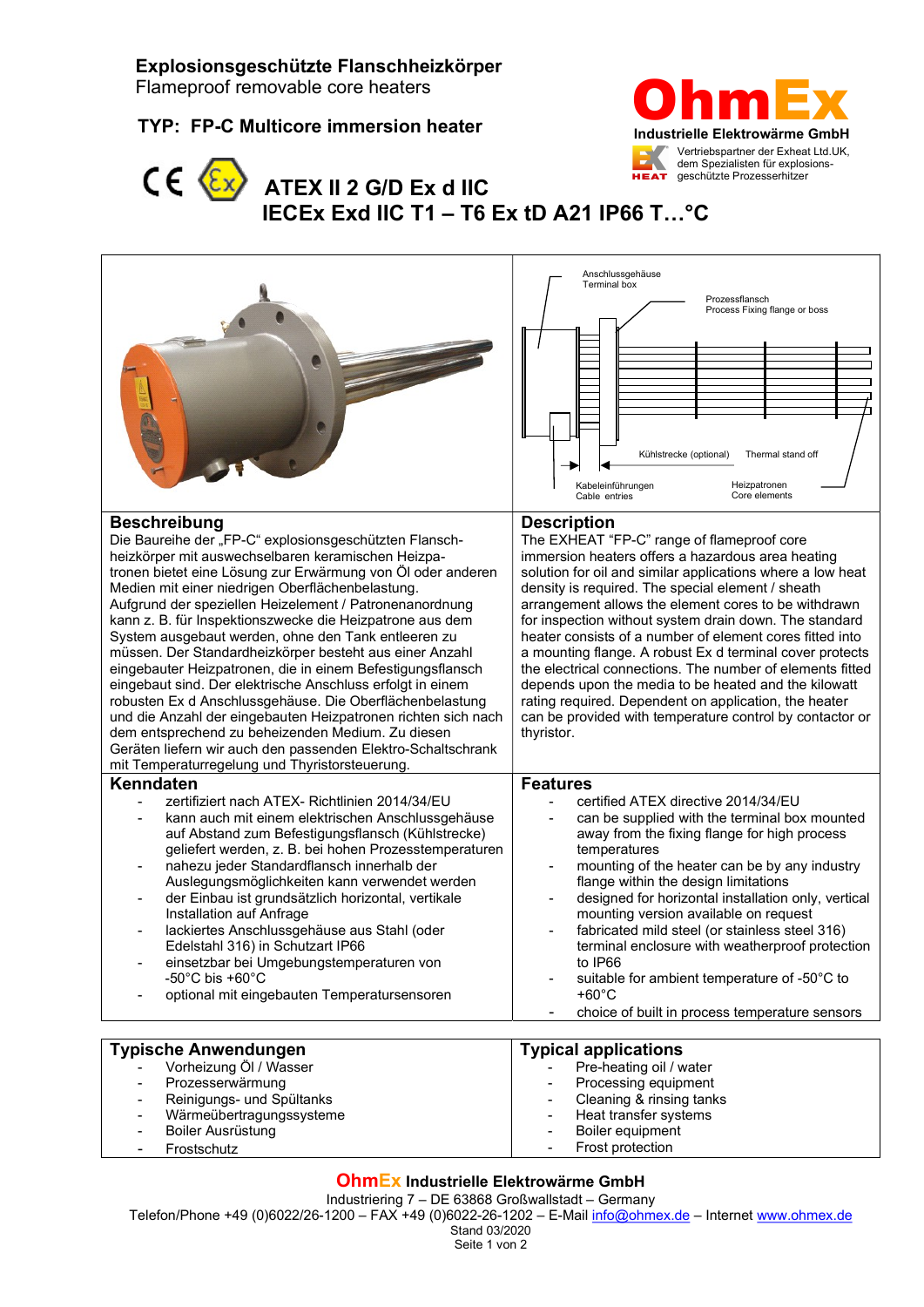# Explosionsgeschützte Flanschheizkörper

Flameproof removable core heaters

## TYP: FP-C Multicore immersion heater





- Wärmeübertragungssysteme

- Boiler Ausrüstung - Frostschutz

# **ATEX II 2 G/D Ex d IIC** IECEx Exd IIC T1 – T6 Ex tD A21 IP66 T…°C

|                                                                                                                                                                                                                                                                                                                                                                                                                                                                                                                                                                                                                                                                                                                                                                                                                                                                                                                                 | Anschlussgehäuse<br>Terminal box<br>Prozessflansch<br>Process Fixing flange or boss<br>Thermal stand off<br>Kühlstrecke (optional)<br>Kabeleinführungen<br>Heizpatronen<br>Core elements<br>Cable entries                                                                                                                                                                                                                                                                                                                                                                                                                                                                                                                                  |
|---------------------------------------------------------------------------------------------------------------------------------------------------------------------------------------------------------------------------------------------------------------------------------------------------------------------------------------------------------------------------------------------------------------------------------------------------------------------------------------------------------------------------------------------------------------------------------------------------------------------------------------------------------------------------------------------------------------------------------------------------------------------------------------------------------------------------------------------------------------------------------------------------------------------------------|--------------------------------------------------------------------------------------------------------------------------------------------------------------------------------------------------------------------------------------------------------------------------------------------------------------------------------------------------------------------------------------------------------------------------------------------------------------------------------------------------------------------------------------------------------------------------------------------------------------------------------------------------------------------------------------------------------------------------------------------|
| <b>Beschreibung</b><br>Die Baureihe der "FP-C" explosionsgeschützten Flansch-<br>heizkörper mit auswechselbaren keramischen Heizpa-<br>tronen bietet eine Lösung zur Erwärmung von Öl oder anderen<br>Medien mit einer niedrigen Oberflächenbelastung.<br>Aufgrund der speziellen Heizelement / Patronenanordnung<br>kann z. B. für Inspektionszwecke die Heizpatrone aus dem<br>System ausgebaut werden, ohne den Tank entleeren zu<br>müssen. Der Standardheizkörper besteht aus einer Anzahl<br>eingebauter Heizpatronen, die in einem Befestigungsflansch<br>eingebaut sind. Der elektrische Anschluss erfolgt in einem<br>robusten Ex d Anschlussgehäuse. Die Oberflächenbelastung<br>und die Anzahl der eingebauten Heizpatronen richten sich nach<br>dem entsprechend zu beheizenden Medium. Zu diesen<br>Geräten liefern wir auch den passenden Elektro-Schaltschrank<br>mit Temperaturregelung und Thyristorsteuerung. | <b>Description</b><br>The EXHEAT "FP-C" range of flameproof core<br>immersion heaters offers a hazardous area heating<br>solution for oil and similar applications where a low heat<br>density is required. The special element / sheath<br>arrangement allows the element cores to be withdrawn<br>for inspection without system drain down. The standard<br>heater consists of a number of element cores fitted into<br>a mounting flange. A robust Ex d terminal cover protects<br>the electrical connections. The number of elements fitted<br>depends upon the media to be heated and the kilowatt<br>rating required. Dependent on application, the heater<br>can be provided with temperature control by contactor or<br>thyristor. |
| Kenndaten<br>zertifiziert nach ATEX- Richtlinien 2014/34/EU<br>kann auch mit einem elektrischen Anschlussgehäuse<br>auf Abstand zum Befestigungsflansch (Kühlstrecke)<br>geliefert werden, z. B. bei hohen Prozesstemperaturen<br>nahezu jeder Standardflansch innerhalb der<br>Auslegungsmöglichkeiten kann verwendet werden<br>der Einbau ist grundsätzlich horizontal, vertikale<br>Installation auf Anfrage<br>lackiertes Anschlussgehäuse aus Stahl (oder<br>Edelstahl 316) in Schutzart IP66<br>einsetzbar bei Umgebungstemperaturen von<br>-50 $^{\circ}$ C bis +60 $^{\circ}$ C<br>optional mit eingebauten Temperatursensoren                                                                                                                                                                                                                                                                                          | <b>Features</b><br>certified ATEX directive 2014/34/EU<br>can be supplied with the terminal box mounted<br>away from the fixing flange for high process<br>temperatures<br>mounting of the heater can be by any industry<br>flange within the design limitations<br>designed for horizontal installation only, vertical<br>mounting version available on request<br>fabricated mild steel (or stainless steel 316)<br>terminal enclosure with weatherproof protection<br>to IP66<br>suitable for ambient temperature of -50°C to<br>$+60^{\circ}$ C<br>choice of built in process temperature sensors<br>۰                                                                                                                                 |
| <b>Typische Anwendungen</b><br>Vorheizung Öl / Wasser<br>Prozesserwärmung<br>Reinigungs- und Spültanks                                                                                                                                                                                                                                                                                                                                                                                                                                                                                                                                                                                                                                                                                                                                                                                                                          | <b>Typical applications</b><br>Pre-heating oil / water<br>Processing equipment<br>Cleaning & rinsing tanks                                                                                                                                                                                                                                                                                                                                                                                                                                                                                                                                                                                                                                 |

# OhmEx Industrielle Elektrowärme GmbH

Industriering 7 – DE 63868 Großwallstadt – Germany

Telefon/Phone +49 (0)6022/26-1200 – FAX +49 (0)6022-26-1202 – E-Mail info@ohmex.de – Internet www.ohmex.de

- Heat transfer systems - Boiler equipment Frost protection

Stand 03/2020 Seite 1 von 2